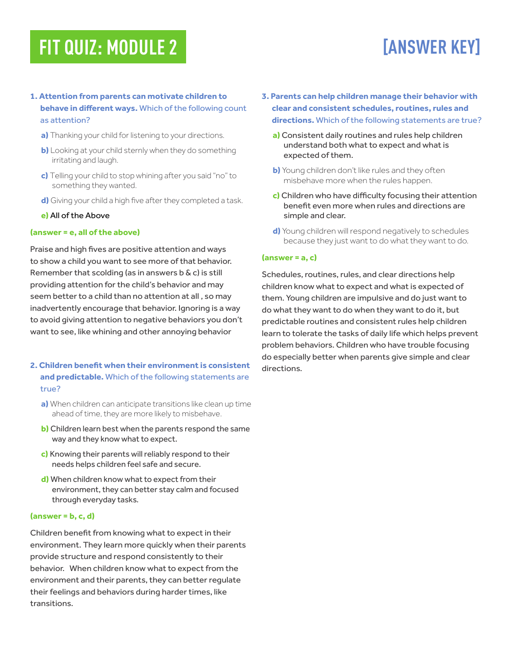# **FIT QUIZ: MODULE 2**

# **[ANSWER KEY]**

### **1. Attention from parents can motivate children to behave in different ways.** Which of the following count as attention?

- **a)** Thanking your child for listening to your directions.
- **b)** Looking at your child sternly when they do something irritating and laugh.
- **c)** Telling your child to stop whining after you said "no" to something they wanted.
- **d)** Giving your child a high five after they completed a task.

#### **e)** All of the Above

#### **(answer = e, all of the above)**

Praise and high fives are positive attention and ways to show a child you want to see more of that behavior. Remember that scolding (as in answers b & c) is still providing attention for the child's behavior and may seem better to a child than no attention at all , so may inadvertently encourage that behavior. Ignoring is a way to avoid giving attention to negative behaviors you don't want to see, like whining and other annoying behavior

- **2. Children benefit when their environment is consistent and predictable.** Which of the following statements are true?
	- **a)** When children can anticipate transitions like clean up time ahead of time, they are more likely to misbehave.
	- **b)** Children learn best when the parents respond the same way and they know what to expect.
	- **c)** Knowing their parents will reliably respond to their needs helps children feel safe and secure.
	- **d)** When children know what to expect from their environment, they can better stay calm and focused through everyday tasks.

#### **(answer = b, c, d)**

Children benefit from knowing what to expect in their environment. They learn more quickly when their parents provide structure and respond consistently to their behavior. When children know what to expect from the environment and their parents, they can better regulate their feelings and behaviors during harder times, like transitions.

- **3. Parents can help children manage their behavior with clear and consistent schedules, routines, rules and directions.** Which of the following statements are true?
	- **a)** Consistent daily routines and rules help children understand both what to expect and what is expected of them.
	- **b)** Young children don't like rules and they often misbehave more when the rules happen.
	- **c)** Children who have difficulty focusing their attention benefit even more when rules and directions are simple and clear.
	- **d)** Young children will respond negatively to schedules because they just want to do what they want to do.

#### **(answer = a, c)**

Schedules, routines, rules, and clear directions help children know what to expect and what is expected of them. Young children are impulsive and do just want to do what they want to do when they want to do it, but predictable routines and consistent rules help children learn to tolerate the tasks of daily life which helps prevent problem behaviors. Children who have trouble focusing do especially better when parents give simple and clear directions.